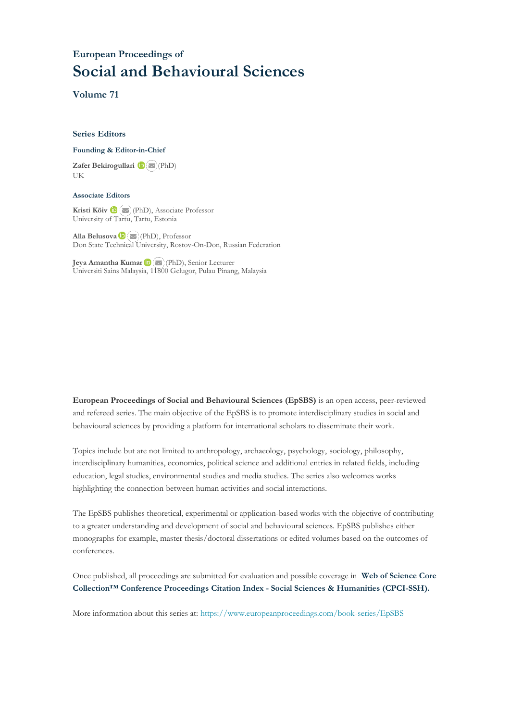## **European Proceedings of Social and Behavioural Sciences**

**Volume 71**

#### **Series Editors**

#### **Founding & Editor-in-Chief**

**Zafer Bekirogullari**(PhD) UK

#### **Associate Editors**

**Kristi Köiv** (PhD), Associate Professor University of Tartu, Tartu, Estonia

**Alla Belusova**(PhD), Professor Don State Technical University, Rostov-On-Don, Russian Federation

**Jeya Amantha Kumar**(PhD), Senior Lecturer Universiti Sains Malaysia, [1180](mailto:amantha@usm.my)0 Gelugor, Pulau Pinang, Malaysia

**European Proceedings of Social and Behavioural Sciences (EpSBS)** is an open access, peer-reviewed and refereed series. The main objective of the EpSBS is to promote interdisciplinary studies in social and behavioural sciences by providing a platform for international scholars to disseminate their work.

Topics include but are not limited to anthropology, archaeology, psychology, sociology, philosophy, interdisciplinary humanities, economics, political science and additional entries in related fields, including education, legal studies, environmental studies and media studies. The series also welcomes works highlighting the connection between human activities and social interactions.

The EpSBS publishes theoretical, experimental or application-based works with the objective of contributing to a greater understanding and development of social and behavioural sciences. EpSBS publishes either monographs for example, master thesis/doctoral dissertations or edited volumes based on the outcomes of conferences.

Once published, all proceedings are submitted for evaluation and possible coverage in **Web of [Science](https://clarivate.com/webofsciencegroup/solutions/webofscience-cpci/) Core Collection™ Conference Proceedings Citation Index - Social Sciences & Humanities [\(CPCI-SSH\).](https://clarivate.com/webofsciencegroup/solutions/webofscience-cpci/)**

More information about this series at[: https://www.europeanproceedings.com/book-series/EpSBS](https://www.europeanproceedings.com/book-series/EpSBS)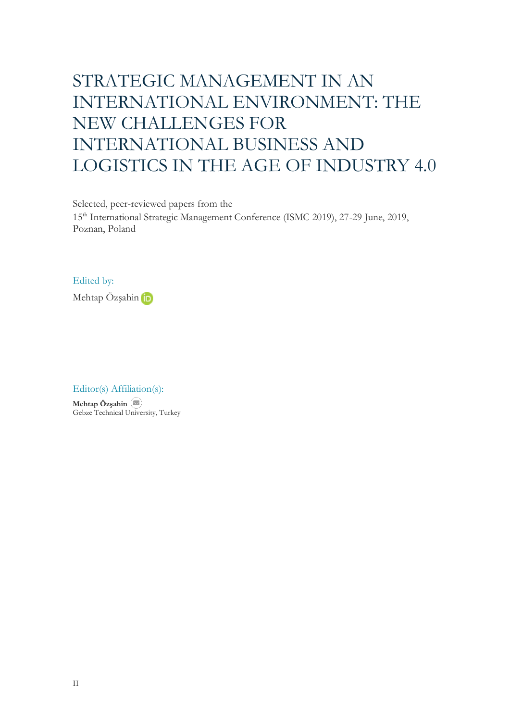# STRATEGIC MANAGEMENT IN AN INTERNATIONAL ENVIRONMENT: THE NEW CHALLENGES FOR INTERNATIONAL BUSINESS AND LOGISTICS IN THE AGE OF INDUSTRY 4.0

Selected, peer-reviewed papers from the

15th International Strategic Management Conference (ISMC 2019), 27-29 June, 2019, Poznan, Poland

### Edited by:



Editor(s) Affiliation(s):

**Mehtap Özşahin** Gebze Technical University, Turkey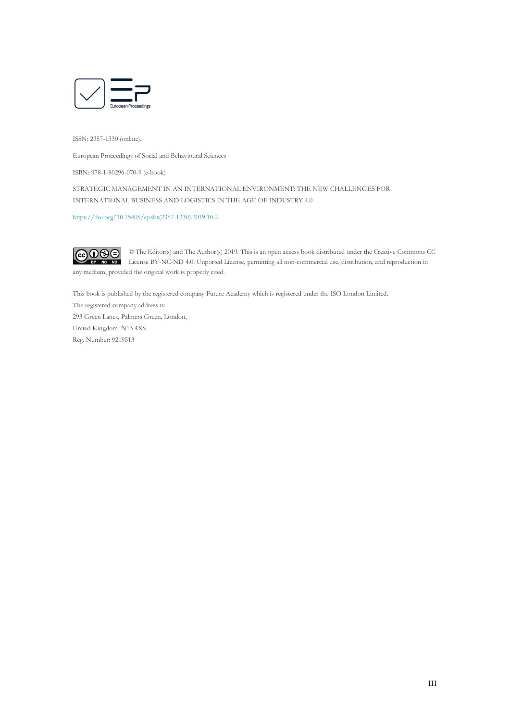

ISSN: 2357-1330 (online).

European Proceedings of Social and Behavioural Sciences

ISBN: 978-1-80296-070-9 (e-book)

STRATEGIC MANAGEMENT IN AN INTERNATIONAL ENVIRONMENT: THE NEW CHALLENGES FOR INTERNATIONAL BUSINESS AND LOGISTICS IN THE AGE OF INDUSTRY 4.0

[https://doi.org/10.15405/epsbs\(2357-1330\).2019.10.2](https://doi.org/10.15405/epsbs(2357-1330).2019.10.2)



© The Editor(s) and The Author(s) 2019. This is an open access book distributed under the Creative Commons CC License BY-NC-ND 4.0. Unported License, permitting all non-commercial use, distribution, and reproduction in any medium, provided the original work is properly cited.

This book is published by the registered company Future Academy which is registered under the ISO London Limited. The registered company address is: 293 Green Lanes, Palmers Green, London, United Kingdom, N13 4XS

Reg. Number: 9219513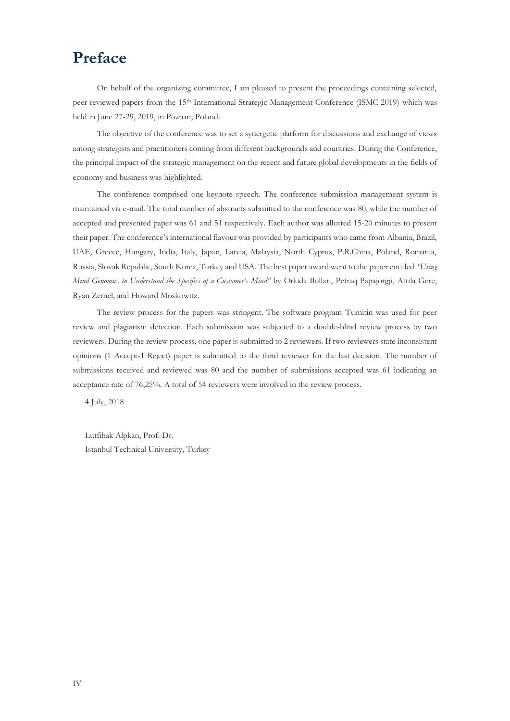## **Preface**

On behalf of the organizing committee, I am pleased to present the proceedings containing selected, peer reviewed papers from the 15th International Strategic Management Conference (ISMC 2019) which was held in June 27-29, 2019, in Poznan, Poland.

The objective of the conference was to set a synergetic platform for discussions and exchange of views among strategists and practitioners coming from different backgrounds and countries. During the Conference, the principal impact of the strategic management on the recent and future global developments in the fields of economy and business was highlighted.

The conference comprised one keynote speech. The conference submission management system is maintained via e-mail. The total number of abstracts submitted to the conference was 80, while the number of accepted and presented paper was 61 and 51 respectively. Each author was allotted 15-20 minutes to present their paper. The conference's international flavour was provided by participants who came from Albania, Brazil, UAE, Greece, Hungary, India, Italy, Japan, Latvia, Malaysia, North Cyprus, P.R.China, Poland, Romania, Russia, Slovak Republic, South Korea, Turkey and USA. The best paper award went to the paper entitled *"Using Mind Genomics to Understand the Specifics of a Customer's Mind"* by Orkida Ilollari, Petraq Papajorgji, Attila Gere, Ryan Zemel, and Howard Moskowitz.

The review process for the papers was stringent. The software program Turnitin was used for peer review and plagiarism detection. Each submission was subjected to a double-blind review process by two reviewers. During the review process, one paper is submitted to 2 reviewers. If two reviewers state inconsistent opinions (1 Accept-1 Reject) paper is submitted to the third reviewer for the last decision. The number of submissions received and reviewed was 80 and the number of submissions accepted was 61 indicating an acceptance rate of 76,25%. A total of 54 reviewers were involved in the review process.

4 July, 2018

Lutfihak Alpkan, Prof. Dr. Istanbul Technical University, Turkey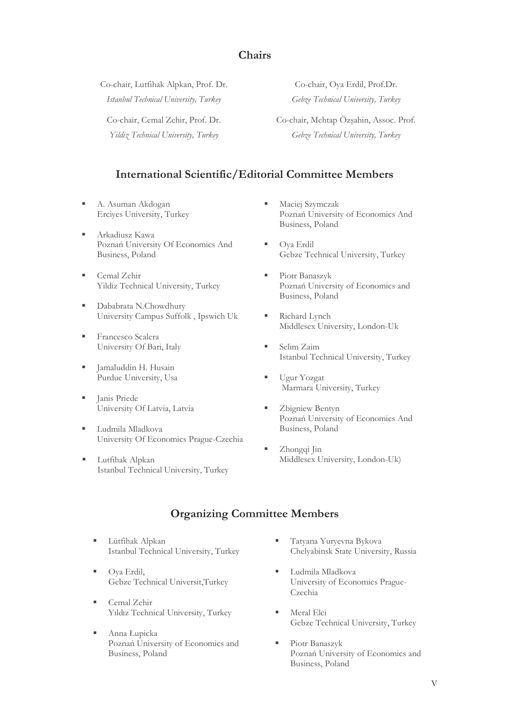### **Chairs**

Co-chair, Lutfihak Alpkan, Prof. Dr. *Istanbul Technical University, Turkey*

Co-chair, Cemal Zehir, Prof. Dr.

*Yildiz Technical University, Turkey*

Co-chair, Oya Erdil, Prof.Dr. *Gebze Technical University, Turkey*

Co-chair, Mehtap Özşahin, Assoc. Prof. *Gebze Technical University, Turkey*

## **International Scientific/Editorial Committee Members**

- A. Asuman Akdogan Erciyes University, Turkey
- Arkadiusz Kawa Poznań University Of Economics And Business, Poland
- Cemal Zehir Yildiz Technical University, Turkey
- Dababrata N.Chowdhury University Campus Suffolk , Ipswich Uk
- Francesco Scalera University Of Bari, Italy
- Jamaluddin H. Husain Purdue University, Usa
- Janis Priede University Of Latvia, Latvia
- Ludmila Mladkova University Of Economics Prague-Czechia
- Lutfihak Alpkan Istanbul Technical University, Turkey
- **■** Maciej Szymczak Poznań University of Economics And Business, Poland
- Oya Erdil Gebze Technical University, Turkey
- Piotr Banaszyk Poznań University of Economics and Business, Poland
- Richard Lynch Middlesex University, London-Uk
- Selim Zaim Istanbul Technical University, Turkey
- Ugur Yozgat Marmara University, Turkey
- Zbigniew Bentyn Poznań University of Economics And Business, Poland
- Zhongqi Jin Middlesex University, London-Uk)

## **Organizing Committee Members**

- Lütfihak Alpkan Istanbul Technical University, Turkey
- Oya Erdil, Gebze Technical Universit,Turkey
- Cemal Zehir Yıldız Technical University, Turkey
- Anna Łupicka Poznań University of Economics and Business, Poland
- Tatyana Yuryevna Bykova Chelyabinsk State University, Russia
- Ludmila Mladkova University of Economics Prague-Czechia
- Meral Elci Gebze Technical University, Turkey
- Piotr Banaszyk Poznań University of Economics and Business, Poland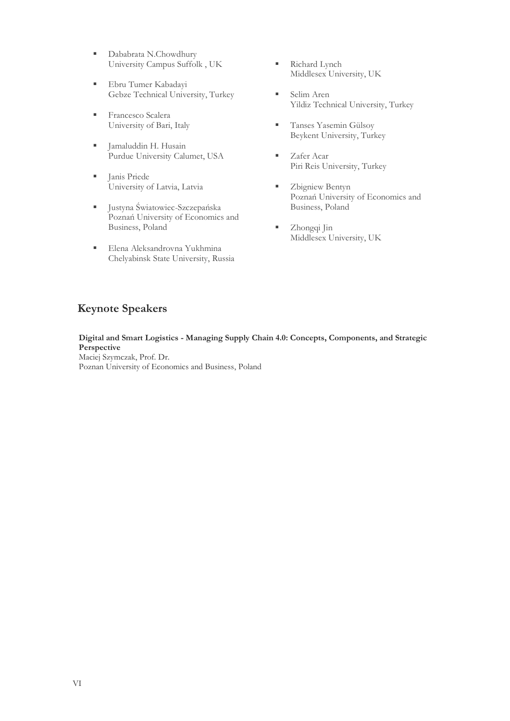- Dababrata N.Chowdhury University Campus Suffolk , UK
- **Ebru Tumer Kabadayi** Gebze Technical University, Turkey
- **Example 5 Francesco Scalera** University of Bari, Italy
- Jamaluddin H. Husain Purdue University Calumet, USA
- **I** Janis Priede University of Latvia, Latvia
- Justyna Światowiec-Szczepańska Poznań University of Economics and Business, Poland
- **Elena Aleksandrovna Yukhmina** Chelyabinsk State University, Russia
- Richard Lynch Middlesex University, UK
- Selim Aren Yildiz Technical University, Turkey
- **Tanses Yasemin Gülsoy** Beykent University, Turkey
- Zafer Acar Piri Reis University, Turkey
- **EXPLOSURE 2** Zbigniew Bentyn Poznań University of Economics and Business, Poland
- Zhongqi Jin Middlesex University, UK

## **Keynote Speakers**

**Digital and Smart Logistics - Managing Supply Chain 4.0: Concepts, Components, and Strategic Perspective** Maciej Szymczak, Prof. Dr. Poznan University of Economics and Business, Poland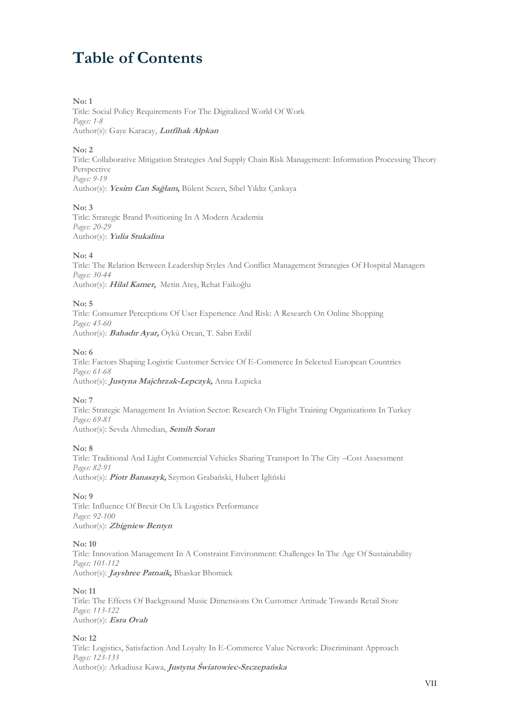# **Table of Contents**

#### **No: 1**

Title: Social Policy Requirements For The Digitalized World Of Work *Pages: 1-8* Author(s): Gaye Karacay, **Lutfihak Alpkan**

#### **No: 2**

Title: Collaborative Mitigation Strategies And Supply Chain Risk Management: Information Processing Theory Perspective *Pages: 9-19*

Author(s): **Yesim Can Sağlam,** Bülent Sezen, Sibel Yıldız Çankaya

#### **No: 3**

Title: Strategic Brand Positioning In A Modern Academia *Pages: 20-29* Author(s): **Yulia Stukalina**

#### **No: 4**

Title: The Relation Between Leadership Styles And Conflict Management Strategies Of Hospital Managers *Pages: 30-44* Author(s): **Hilal Kamer,** Metin Ateş, Rehat Faikoğlu

#### **No: 5**

Title: Consumer Perceptions Of User Experience And Risk: A Research On Online Shopping *Pages: 45-60* Author(s): **Bahadır Ayar,** Öykü Orcan, T. Sabri Erdil

#### **No: 6**

Title: Factors Shaping Logistic Customer Service Of E-Commerce In Selected European Countries *Pages: 61-68* Author(s): **Justyna Majchrzak-Lepczyk,** Anna Łupicka

#### **No: 7**

Title: Strategic Management In Aviation Sector: Research On Flight Training Organizations In Turkey *Pages: 69-81* Author(s): Sevda Ahmedian, **Semih Soran**

#### **No: 8**

Title: Traditional And Light Commercial Vehicles Sharing Transport In The City –Cost Assessment *Pages: 82-91* Author(s): **Piotr Banaszyk,** Szymon Grabański, Hubert Igliński

#### **No: 9**

Title: Influence Of Brexit On Uk Logistics Performance *Pages: 92-100* Author(s): **Zbigniew Bentyn**

#### **No: 10**

Title: Innovation Management In A Constraint Environment: Challenges In The Age Of Sustainability *Pages: 101-112* Author(s): **Jayshree Patnaik,** Bhaskar Bhomick

#### **No: 11**

Title: The Effects Of Background Music Dimensions On Customer Attitude Towards Retail Store *Pages: 113-122* Author(s): **Esra Ovalı**

#### **No: 12**

Title: Logistics, Satisfaction And Loyalty In E-Commerce Value Network: Discriminant Approach *Pages: 123-133* Author(s): Arkadiusz Kawa, **Justyna Światowiec-Szczepańska**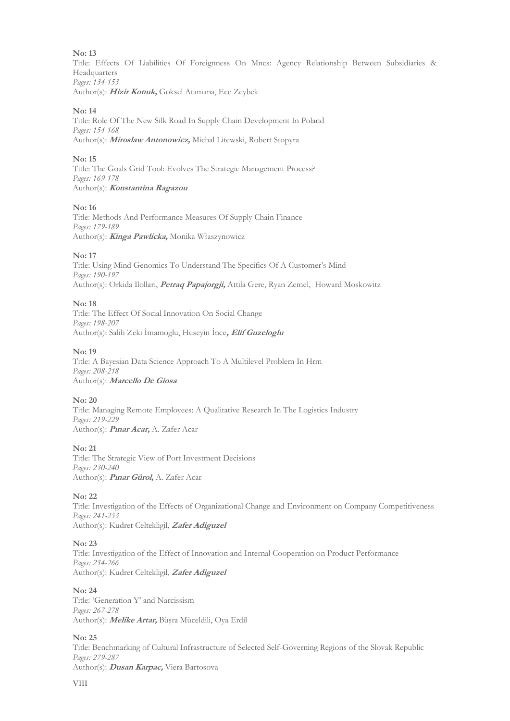#### **No: 13**

Title: Effects Of Liabilities Of Foreignness On Mncs: Agency Relationship Between Subsidiaries & Headquarters *Pages: 134-153*

Author(s): **Hizir Konuk,** Goksel Atamana, Ece Zeybek

#### **No: 14**

Title: Role Of The New Silk Road In Supply Chain Development In Poland *Pages: 154-168* Author(s): **Miroslaw Antonowicz,** Michal Litewski, Robert Stopyra

#### **No: 15**

Title: The Goals Grid Tool: Evolves The Strategic Management Process? *Pages: 169-178* Author(s): **Konstantina Ragazou**

#### **No: 16**

Title: Methods And Performance Measures Of Supply Chain Finance *Pages: 179-189* Author(s): **Kinga Pawlicka,** Monika Właszynowicz

#### **No: 17**

Title: Using Mind Genomics To Understand The Specifics Of A Customer's Mind *Pages: 190-197* Author(s): Orkida Ilollari, **Petraq Papajorgji,** Attila Gere, Ryan Zemel, Howard Moskowitz

#### **No: 18**

Title: The Effect Of Social Innovation On Social Change *Pages: 198-207* Author(s): Salih Zeki İmamoglu, Huseyin İnce**, Elif Guzeloglu**

#### **No: 19**

Title: A Bayesian Data Science Approach To A Multilevel Problem In Hrm *Pages: 208-218* Author(s): **Marcello De Giosa**

#### **No: 20**

Title: Managing Remote Employees: A Qualitative Research In The Logistics Industry *Pages: 219-229* Author(s): **Pınar Acar,** A. Zafer Acar

#### **No: 21**

Title: The Strategic View of Port Investment Decisions *Pages: 230-240* Author(s): **Pınar Gürol,** A. Zafer Acar

#### **No: 22**

Title: Investigation of the Effects of Organizational Change and Environment on Company Competitiveness *Pages: 241-253* Author(s): Kudret Celtekligil, **Zafer Adiguzel**

#### **No: 23**

Title: Investigation of the Effect of Innovation and Internal Cooperation on Product Performance *Pages: 254-266* Author(s): Kudret Celtekligil, **Zafer Adiguzel**

#### **No: 24**

Title: 'Generation Y' and Narcissism *Pages: 267-278* Author(s): **Melike Artar,** Büşra Müceldili, Oya Erdil

#### **No: 25**

Title: Benchmarking of Cultural Infrastructure of Selected Self-Governing Regions of the Slovak Republic *Pages: 279-287*

Author(s): **Dusan Karpac,** Viera Bartosova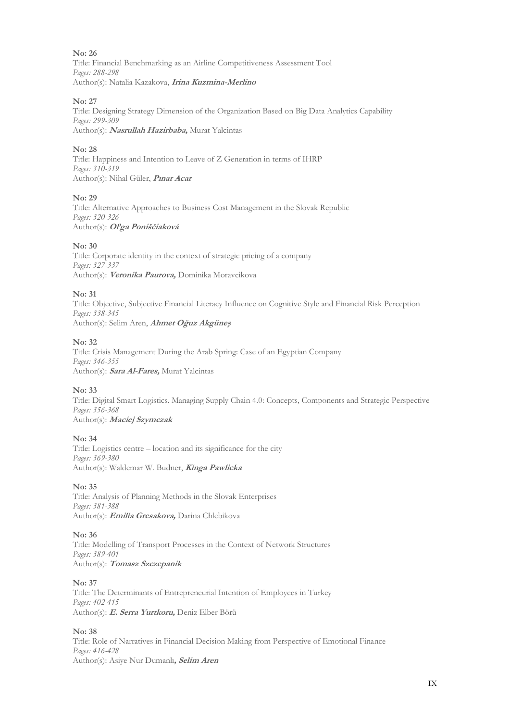**No: 26** Title: Financial Benchmarking as an Airline Competitiveness Assessment Tool *Pages: 288-298* Author(s): Natalia Kazakova, **Irina Kuzmina-Merlino**

#### **No: 27**

Title: Designing Strategy Dimension of the Organization Based on Big Data Analytics Capability *Pages: 299-309* Author(s): **Nasrullah Hazirbaba,** Murat Yalcintas

#### **No: 28**

Title: Happiness and Intention to Leave of Z Generation in terms of IHRP *Pages: 310-319* Author(s): Nihal Güler, **Pınar Acar**

#### **No: 29**

Title: Alternative Approaches to Business Cost Management in the Slovak Republic *Pages: 320-326* Author(s): **Oľga Poniščiaková**

#### **No: 30**

Title: Corporate identity in the context of strategic pricing of a company *Pages: 327-337* Author(s): **Veronika Paurova,** Dominika Moravcikova

#### **No: 31**

Title: Objective, Subjective Financial Literacy Influence on Cognitive Style and Financial Risk Perception *Pages: 338-345* Author(s): Selim Aren, **Ahmet Oğuz Akgüneş**

#### **No: 32**

Title: Crisis Management During the Arab Spring: Case of an Egyptian Company *Pages: 346-355* Author(s): **Sara Al-Fares,** Murat Yalcintas

#### **No: 33**

Title: Digital Smart Logistics. Managing Supply Chain 4.0: Concepts, Components and Strategic Perspective *Pages: 356-368* Author(s): **Maciej Szymczak**

#### **No: 34**

Title: Logistics centre – location and its significance for the city *Pages: 369-380* Author(s): Waldemar W. Budner, **Kinga Pawlicka**

#### **No: 35**

Title: Analysis of Planning Methods in the Slovak Enterprises *Pages: 381-388* Author(s): **Emilia Gresakova,** Darina Chlebikova

#### **No: 36**

Title: Modelling of Transport Processes in the Context of Network Structures *Pages: 389-401* Author(s): **Tomasz Szczepanik**

#### **No: 37**

Title: The Determinants of Entrepreneurial Intention of Employees in Turkey *Pages: 402-415* Author(s): **E. Serra Yurtkoru,** Deniz Elber Börü

#### **No: 38**

Title: Role of Narratives in Financial Decision Making from Perspective of Emotional Finance *Pages: 416-428* Author(s): Asiye Nur Dumanlı**, Selim Aren**